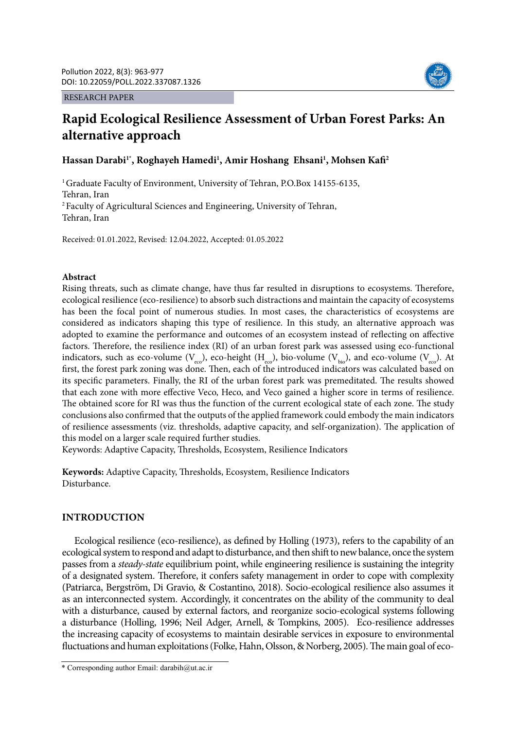#### RESEARCH PAPER



# **Rapid Ecological Resilience Assessment of Urban Forest Parks: An alternative approach**

## Hassan Darabi<sup>1\*</sup>, Roghayeh Hamedi<sup>1</sup>, Amir Hoshang Ehsani<sup>1</sup>, Mohsen Kafi<sup>2</sup>

<sup>1</sup> Graduate Faculty of Environment, University of Tehran, P.O.Box 14155-6135, Tehran, Iran 2 Faculty of Agricultural Sciences and Engineering, University of Tehran, Tehran, Iran

Received: 01.01.2022, Revised: 12.04.2022, Accepted: 01.05.2022

#### **Abstract**

Rising threats, such as climate change, have thus far resulted in disruptions to ecosystems. Therefore, ecological resilience (eco-resilience) to absorb such distractions and maintain the capacity of ecosystems has been the focal point of numerous studies. In most cases, the characteristics of ecosystems are considered as indicators shaping this type of resilience. In this study, an alternative approach was adopted to examine the performance and outcomes of an ecosystem instead of reflecting on affective factors. Therefore, the resilience index (RI) of an urban forest park was assessed using eco-functional indicators, such as eco-volume  $(V_{\text{evo}})$ , eco-height  $(H_{\text{evo}})$ , bio-volume  $(V_{\text{hio}})$ , and eco-volume  $(V_{\text{evo}})$ . At first, the forest park zoning was done. Then, each of the introduced indicators was calculated based on its specific parameters. Finally, the RI of the urban forest park was premeditated. The results showed that each zone with more effective Veco, Heco, and Veco gained a higher score in terms of resilience. The obtained score for RI was thus the function of the current ecological state of each zone. The study conclusions also confirmed that the outputs of the applied framework could embody the main indicators of resilience assessments (viz. thresholds, adaptive capacity, and self-organization). The application of this model on a larger scale required further studies.

Keywords: Adaptive Capacity, Thresholds, Ecosystem, Resilience Indicators

**Keywords:** Adaptive Capacity, Thresholds, Ecosystem, Resilience Indicators Disturbance.

## **INTRODUCTION**

Ecological resilience (eco-resilience), as defined by Holling (1973), refers to the capability of an ecological system to respond and adapt to disturbance, and then shift to new balance, once the system passes from a *steady-state* equilibrium point, while engineering resilience is sustaining the integrity of a designated system. Therefore, it confers safety management in order to cope with complexity (Patriarca, Bergström, Di Gravio, & Costantino, 2018). Socio-ecological resilience also assumes it as an interconnected system. Accordingly, it concentrates on the ability of the community to deal with a disturbance, caused by external factors, and reorganize socio-ecological systems following a disturbance (Holling, 1996; Neil Adger, Arnell, & Tompkins, 2005). Eco-resilience addresses the increasing capacity of ecosystems to maintain desirable services in exposure to environmental fluctuations and human exploitations (Folke, Hahn, Olsson, & Norberg, 2005). The main goal of eco-

<sup>\*</sup> Corresponding author Email: darabih@ut.ac.ir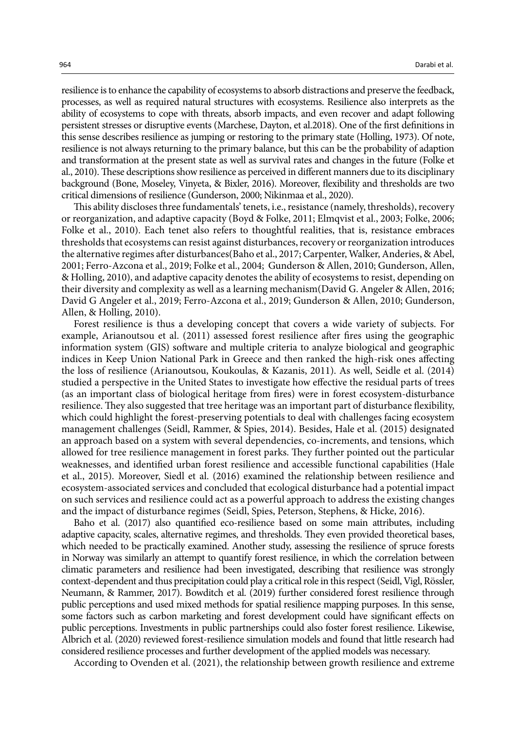resilience is to enhance the capability of ecosystems to absorb distractions and preserve the feedback, processes, as well as required natural structures with ecosystems. Resilience also interprets as the ability of ecosystems to cope with threats, absorb impacts, and even recover and adapt following persistent stresses or disruptive events (Marchese, Dayton, et al.2018). One of the first definitions in this sense describes resilience as jumping or restoring to the primary state (Holling, 1973). Of note, resilience is not always returning to the primary balance, but this can be the probability of adaption and transformation at the present state as well as survival rates and changes in the future (Folke et al., 2010). These descriptions show resilience as perceived in different manners due to its disciplinary background (Bone, Moseley, Vinyeta, & Bixler, 2016). Moreover, flexibility and thresholds are two critical dimensions of resilience (Gunderson, 2000; Nikinmaa et al., 2020).

This ability discloses three fundamentals' tenets, i.e., resistance (namely, thresholds), recovery or reorganization, and adaptive capacity (Boyd & Folke, 2011; Elmqvist et al., 2003; Folke, 2006; Folke et al., 2010). Each tenet also refers to thoughtful realities, that is, resistance embraces thresholds that ecosystems can resist against disturbances, recovery or reorganization introduces the alternative regimes after disturbances(Baho et al., 2017; Carpenter, Walker, Anderies, & Abel, 2001; Ferro-Azcona et al., 2019; Folke et al., 2004; Gunderson & Allen, 2010; Gunderson, Allen, & Holling, 2010), and adaptive capacity denotes the ability of ecosystems to resist, depending on their diversity and complexity as well as a learning mechanism(David G. Angeler & Allen, 2016; David G Angeler et al., 2019; Ferro-Azcona et al., 2019; Gunderson & Allen, 2010; Gunderson, Allen, & Holling, 2010).

Forest resilience is thus a developing concept that covers a wide variety of subjects. For example, Arianoutsou et al. (2011) assessed forest resilience after fires using the geographic information system (GIS) software and multiple criteria to analyze biological and geographic indices in Keep Union National Park in Greece and then ranked the high-risk ones affecting the loss of resilience (Arianoutsou, Koukoulas, & Kazanis, 2011). As well, Seidle et al. (2014) studied a perspective in the United States to investigate how effective the residual parts of trees (as an important class of biological heritage from fires) were in forest ecosystem-disturbance resilience. They also suggested that tree heritage was an important part of disturbance flexibility, which could highlight the forest-preserving potentials to deal with challenges facing ecosystem management challenges (Seidl, Rammer, & Spies, 2014). Besides, Hale et al. (2015) designated an approach based on a system with several dependencies, co-increments, and tensions, which allowed for tree resilience management in forest parks. They further pointed out the particular weaknesses, and identified urban forest resilience and accessible functional capabilities (Hale et al., 2015). Moreover, Siedl et al. (2016) examined the relationship between resilience and ecosystem-associated services and concluded that ecological disturbance had a potential impact on such services and resilience could act as a powerful approach to address the existing changes and the impact of disturbance regimes (Seidl, Spies, Peterson, Stephens, & Hicke, 2016).

Baho et al. (2017) also quantified eco-resilience based on some main attributes, including adaptive capacity, scales, alternative regimes, and thresholds. They even provided theoretical bases, which needed to be practically examined. Another study, assessing the resilience of spruce forests in Norway was similarly an attempt to quantify forest resilience, in which the correlation between climatic parameters and resilience had been investigated, describing that resilience was strongly context-dependent and thus precipitation could play a critical role in this respect (Seidl, Vigl, Rössler, Neumann, & Rammer, 2017). Bowditch et al. (2019) further considered forest resilience through public perceptions and used mixed methods for spatial resilience mapping purposes. In this sense, some factors such as carbon marketing and forest development could have significant effects on public perceptions. Investments in public partnerships could also foster forest resilience. Likewise, Albrich et al. (2020) reviewed forest-resilience simulation models and found that little research had considered resilience processes and further development of the applied models was necessary.

According to Ovenden et al. (2021), the relationship between growth resilience and extreme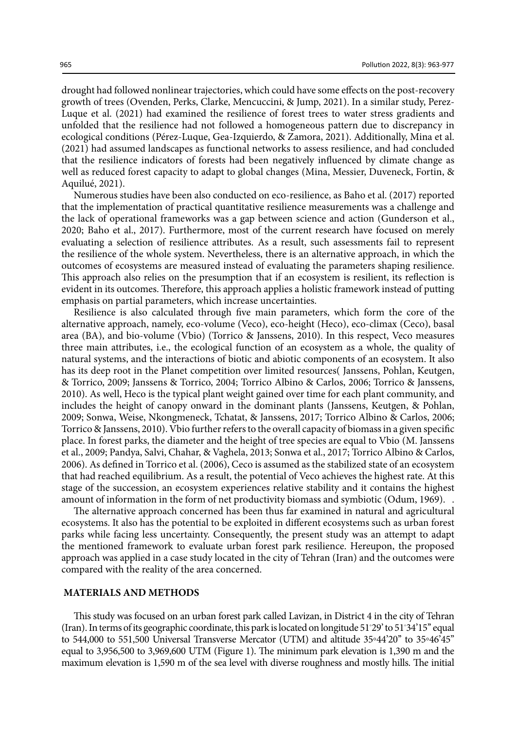drought had followed nonlinear trajectories, which could have some effects on the post-recovery growth of trees (Ovenden, Perks, Clarke, Mencuccini, & Jump, 2021). In a similar study, Perez-Luque et al. (2021) had examined the resilience of forest trees to water stress gradients and unfolded that the resilience had not followed a homogeneous pattern due to discrepancy in ecological conditions (Pérez-Luque, Gea-Izquierdo, & Zamora, 2021). Additionally, Mina et al. (2021) had assumed landscapes as functional networks to assess resilience, and had concluded that the resilience indicators of forests had been negatively influenced by climate change as well as reduced forest capacity to adapt to global changes (Mina, Messier, Duveneck, Fortin, & Aquilué, 2021).

Numerous studies have been also conducted on eco-resilience, as Baho et al. (2017) reported that the implementation of practical quantitative resilience measurements was a challenge and the lack of operational frameworks was a gap between science and action (Gunderson et al., 2020; Baho et al., 2017). Furthermore, most of the current research have focused on merely evaluating a selection of resilience attributes. As a result, such assessments fail to represent the resilience of the whole system. Nevertheless, there is an alternative approach, in which the outcomes of ecosystems are measured instead of evaluating the parameters shaping resilience. This approach also relies on the presumption that if an ecosystem is resilient, its reflection is evident in its outcomes. Therefore, this approach applies a holistic framework instead of putting emphasis on partial parameters, which increase uncertainties.

Resilience is also calculated through five main parameters, which form the core of the alternative approach, namely, eco-volume (Veco), eco-height (Heco), eco-climax (Ceco), basal area (BA), and bio-volume (Vbio) (Torrico & Janssens, 2010). In this respect, Veco measures three main attributes, i.e., the ecological function of an ecosystem as a whole, the quality of natural systems, and the interactions of biotic and abiotic components of an ecosystem. It also has its deep root in the Planet competition over limited resources( Janssens, Pohlan, Keutgen, & Torrico, 2009; Janssens & Torrico, 2004; Torrico Albino & Carlos, 2006; Torrico & Janssens, 2010). As well, Heco is the typical plant weight gained over time for each plant community, and includes the height of canopy onward in the dominant plants (Janssens, Keutgen, & Pohlan, 2009; Sonwa, Weise, Nkongmeneck, Tchatat, & Janssens, 2017; Torrico Albino & Carlos, 2006; Torrico & Janssens, 2010). Vbio further refers to the overall capacity of biomass in a given specific place. In forest parks, the diameter and the height of tree species are equal to Vbio (M. Janssens et al., 2009; Pandya, Salvi, Chahar, & Vaghela, 2013; Sonwa et al., 2017; Torrico Albino & Carlos, 2006). As defined in Torrico et al. (2006), Ceco is assumed as the stabilized state of an ecosystem that had reached equilibrium. As a result, the potential of Veco achieves the highest rate. At this stage of the succession, an ecosystem experiences relative stability and it contains the highest amount of information in the form of net productivity biomass and symbiotic (Odum, 1969). .

The alternative approach concerned has been thus far examined in natural and agricultural ecosystems. It also has the potential to be exploited in different ecosystems such as urban forest parks while facing less uncertainty. Consequently, the present study was an attempt to adapt the mentioned framework to evaluate urban forest park resilience. Hereupon, the proposed approach was applied in a case study located in the city of Tehran (Iran) and the outcomes were compared with the reality of the area concerned.

#### **MATERIALS AND METHODS**

This study was focused on an urban forest park called Lavizan, in District 4 in the city of Tehran (Iran). In terms of its geographic coordinate, this park is located on longitude 51◦ 29' to 51◦ 34'15'' equal to 544,000 to 551,500 Universal Transverse Mercator (UTM) and altitude 35◦44'20'' to 35◦46'45'' equal to 3,956,500 to 3,969,600 UTM (Figure 1). The minimum park elevation is 1,390 m and the maximum elevation is 1,590 m of the sea level with diverse roughness and mostly hills. The initial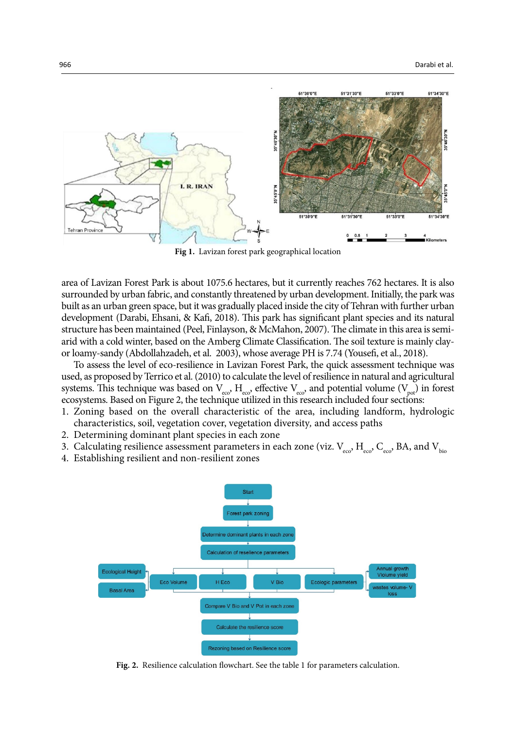

**Fig 1.** Lavizan forest park geographical location

area of Lavizan Forest Park is about 1075.6 hectares, but it currently reaches 762 hectares. It is also surrounded by urban fabric, and constantly threatened by urban development. Initially, the park was built as an urban green space, but it was gradually placed inside the city of Tehran with further urban development (Darabi, Ehsani, & Kafi, 2018). This park has significant plant species and its natural structure has been maintained (Peel, Finlayson, & McMahon, 2007). The climate in this area is semiarid with a cold winter, based on the Amberg Climate Classification. The soil texture is mainly clayor loamy-sandy (Abdollahzadeh, et al. 2003), whose average PH is 7.74 (Yousefi, et al., 2018).

To assess the level of eco-resilience in Lavizan Forest Park, the quick assessment technique was used, as proposed by Terrico et al. (2010) to calculate the level of resilience in natural and agricultural systems. This technique was based on  $V_{\text{eco}}$ ,  $H_{\text{eco}}$ , effective  $V_{\text{eco}}$ , and potential volume  $(V_{\text{pot}})$  in forest ecosystems. Based on Figure 2, the technique utilized in this research included four sections:

- 1. Zoning based on the overall characteristic of the area, including landform, hydrologic characteristics, soil, vegetation cover, vegetation diversity*,* and access paths
- 2. Determining dominant plant species in each zone
- 3. Calculating resilience assessment parameters in each zone (viz.  $V_{\text{eco}}$ ,  $H_{\text{eco}}$ ,  $C_{\text{eco}}$ , BA, and  $V_{\text{bio}}$
- 4. Establishing resilient and non-resilient zones



Fig. 2. Resilience calculation flowchart. See the table 1 for parameters calculation.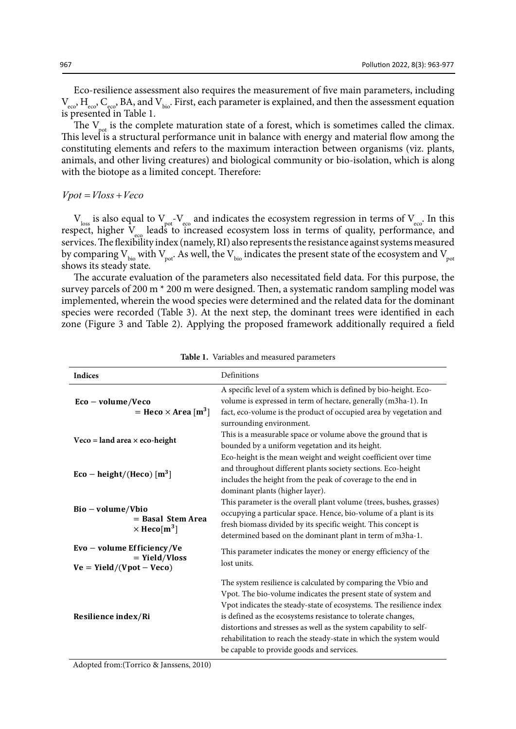Eco-resilience assessment also requires the measurement of five main parameters, including  $V_{\text{eco}}$ ,  $H_{\text{eco}}$ ,  $C_{\text{eco}}$ , BA, and  $V_{\text{bio}}$ . First, each parameter is explained, and then the assessment equation is presented in Table 1.

The  $V_{\text{pot}}$  is the complete maturation state of a forest, which is sometimes called the climax. This level is a structural performance unit in balance with energy and material flow among the constituting elements and refers to the maximum interaction between organisms (viz. plants, animals, and other living creatures) and biological community or bio-isolation, which is along with the biotope as a limited concept. Therefore:

 $Vpot = Vloss + Veco$ 

 $V_{loss}$  is also equal to  $V_{pot}$ - $V_{eco}$  and indicates the ecosystem regression in terms of  $V_{eco}$ . In this respect, higher  $V_{\text{eq}}$  leads to increased ecosystem loss in terms of quality, performance, and services. The flexibility index (namely, RI) also represents the resistance against systems measured by comparing  $V_{\text{bio}}$  with  $V_{\text{pot}}$ . As well, the  $V_{\text{bio}}$  indicates the present state of the ecosystem and  $V_{\text{pot}}$ shows its steady state.

The accurate evaluation of the parameters also necessitated field data. For this purpose, the survey parcels of 200 m \* 200 m were designed. Then, a systematic random sampling model was implemented, wherein the wood species were determined and the related data for the dominant species were recorded (Table 3). At the next step, the dominant trees were identified in each zone (Figure 3 and Table 2). Applying the proposed framework additionally required a field

| <b>Indices</b>                                                              | Definitions                                                                                                                                                                                                                                                                                                                                                                                                                                                     |  |  |  |
|-----------------------------------------------------------------------------|-----------------------------------------------------------------------------------------------------------------------------------------------------------------------------------------------------------------------------------------------------------------------------------------------------------------------------------------------------------------------------------------------------------------------------------------------------------------|--|--|--|
| $Eco - volume/Veco$<br>= Heco $\times$ Area [m <sup>3</sup> ]               | A specific level of a system which is defined by bio-height. Eco-<br>volume is expressed in term of hectare, generally (m3ha-1). In<br>fact, eco-volume is the product of occupied area by vegetation and<br>surrounding environment.                                                                                                                                                                                                                           |  |  |  |
| $\text{Veco} = \text{land area} \times \text{eco-height}$                   | This is a measurable space or volume above the ground that is<br>bounded by a uniform vegetation and its height.<br>Eco-height is the mean weight and weight coefficient over time                                                                                                                                                                                                                                                                              |  |  |  |
| $Eco - height/(Heco)$ [m <sup>3</sup> ]                                     | and throughout different plants society sections. Eco-height<br>includes the height from the peak of coverage to the end in<br>dominant plants (higher layer).                                                                                                                                                                                                                                                                                                  |  |  |  |
| Bio – volume/Vbio<br>$=$ Basal Stem Area<br>$\times$ Heco[m <sup>3</sup> ]  | This parameter is the overall plant volume (trees, bushes, grasses)<br>occupying a particular space. Hence, bio-volume of a plant is its<br>fresh biomass divided by its specific weight. This concept is<br>determined based on the dominant plant in term of m3ha-1.                                                                                                                                                                                          |  |  |  |
| Evo - volume Efficiency/Ve<br>$=$ Yield/Vloss<br>$Ve = Yield/(Vpot - Veco)$ | This parameter indicates the money or energy efficiency of the<br>lost units.                                                                                                                                                                                                                                                                                                                                                                                   |  |  |  |
| Resilience index/Ri                                                         | The system resilience is calculated by comparing the Vbio and<br>Vpot. The bio-volume indicates the present state of system and<br>Vpot indicates the steady-state of ecosystems. The resilience index<br>is defined as the ecosystems resistance to tolerate changes,<br>distortions and stresses as well as the system capability to self-<br>rehabilitation to reach the steady-state in which the system would<br>be capable to provide goods and services. |  |  |  |

**Table 1.** Variables and measured parameters **Table 1.** Variables and measured parameters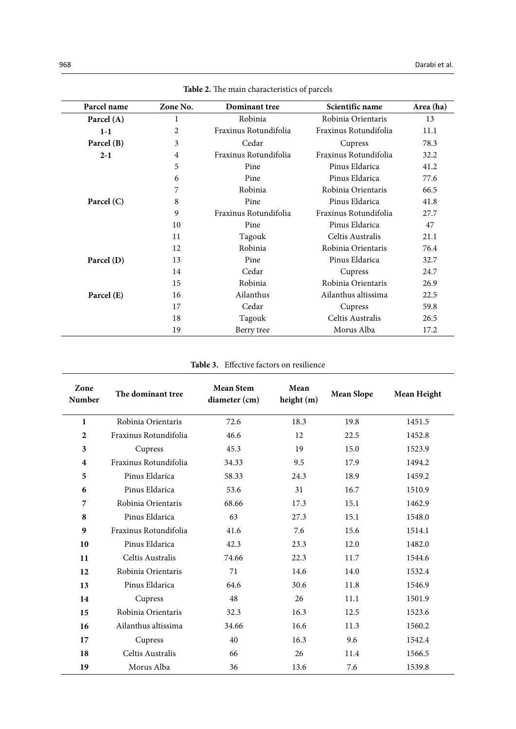| Parcel name  | Zone No. | Dominant tree                                  | Scientific name       | Area (ha) |
|--------------|----------|------------------------------------------------|-----------------------|-----------|
| Parcel $(A)$ | 1        | Robinia                                        | Robinia Orientaris    |           |
| $1-1$        | 2        | Fraxinus Rotundifolia<br>Fraxinus Rotundifolia |                       | 11.1      |
| Parcel (B)   | 3        | Cedar                                          | Cupress               |           |
| $2 - 1$      | 4        | Fraxinus Rotundifolia                          | Fraxinus Rotundifolia | 32.2      |
|              | 5        | Pine                                           | Pinus Eldarica        | 41.2      |
|              | 6        | Pine                                           | Pinus Eldarica        | 77.6      |
|              | 7        | Robinia                                        | Robinia Orientaris    | 66.5      |
| Parcel $(C)$ | 8        | Pine                                           | Pinus Eldarica        | 41.8      |
|              | 9        | Fraxinus Rotundifolia                          | Fraxinus Rotundifolia | 27.7      |
|              | 10       | Pine                                           | Pinus Eldarica        | 47        |
|              | 11       | Tagouk                                         | Celtis Australis      | 21.1      |
|              | 12       | Robinia                                        | Robinia Orientaris    | 76.4      |
| Parcel (D)   | 13       | Pine                                           | Pinus Eldarica        | 32.7      |
|              | 14       | Cedar                                          | Cupress               | 24.7      |
|              | 15       | Robinia                                        | Robinia Orientaris    | 26.9      |
| Parcel (E)   | 16       | Ailanthus                                      | Ailanthus altissima   | 22.5      |
|              | 17       | Cedar                                          | Cupress               | 59.8      |
|              | 18       | Tagouk                                         | Celtis Australis      | 26.5      |
|              | 19       | Berry tree                                     | Morus Alba            | 17.2      |

**Table 2.** The main characteristics of parcels **Table 2.** The main characteristics of parcels

**Table 3.** Effective factors on resilience

| Zone<br>Number | The dominant tree     | <b>Mean Stem</b><br>diameter (cm) | Mean<br>height $(m)$ | <b>Mean Slope</b> | Mean Height |
|----------------|-----------------------|-----------------------------------|----------------------|-------------------|-------------|
| 1              | Robinia Orientaris    | 72.6                              | 18.3                 | 19.8              | 1451.5      |
| 2              | Fraxinus Rotundifolia | 46.6                              | 12                   | 22.5              | 1452.8      |
| 3              | Cupress               | 45.3                              | 19                   | 15.0              | 1523.9      |
| 4              | Fraxinus Rotundifolia | 34.33                             | 9.5                  | 17.9              | 1494.2      |
| 5              | Pinus Eldarica        | 58.33                             | 24.3                 | 18.9              | 1459.2      |
| 6              | Pinus Eldarica        | 53.6                              | 31                   | 16.7              | 1510.9      |
| 7              | Robinia Orientaris    | 68.66                             | 17.3                 | 15.1              | 1462.9      |
| 8              | Pinus Eldarica        | 63                                | 27.3                 | 15.1              | 1548.0      |
| 9              | Fraxinus Rotundifolia | 41.6                              | 7.6                  | 15.6              | 1514.1      |
| 10             | Pinus Eldarica        | 42.3                              | 23.3                 | 12.0              | 1482.0      |
| 11             | Celtis Australis      | 74.66                             | 22.3                 | 11.7              | 1544.6      |
| 12             | Robinia Orientaris    | 71                                | 14.6                 | 14.0              | 1532.4      |
| 13             | Pinus Eldarica        | 64.6                              | 30.6                 | 11.8              | 1546.9      |
| 14             | Cupress               | 48                                | 26                   | 11.1              | 1501.9      |
| 15             | Robinia Orientaris    | 32.3                              | 16.3                 | 12.5              | 1523.6      |
| 16             | Ailanthus altissima   | 34.66                             | 16.6                 | 11.3              | 1560.2      |
| 17             | Cupress               | 40                                | 16.3                 | 9.6               | 1542.4      |
| 18             | Celtis Australis      | 66                                | 26                   | 11.4              | 1566.5      |
| 19             | Morus Alba            | 36                                | 13.6                 | 7.6               | 1539.8      |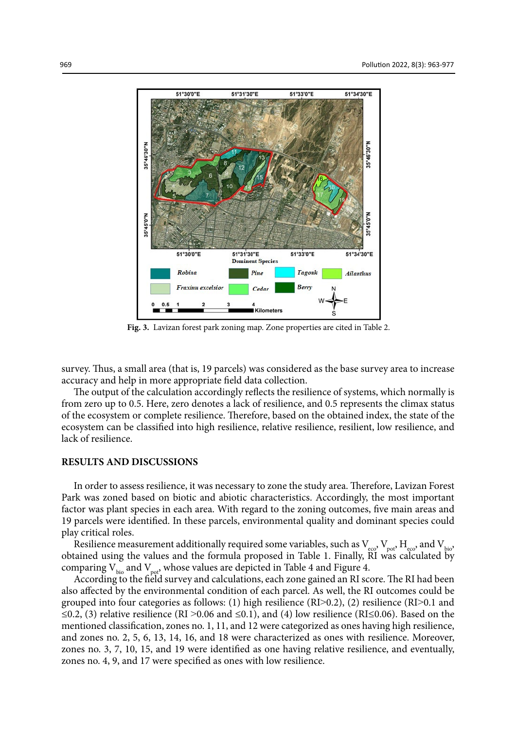

**Fig. 3.** Lavizan forest park zoning map. Zone properties are cited in Table 2.

survey. Thus, a small area (that is, 19 parcels) was considered as the base survey area to increase accuracy and help in more appropriate field data collection.

The output of the calculation accordingly reflects the resilience of systems, which normally is from zero up to 0.5. Here, zero denotes a lack of resilience, and 0.5 represents the climax status of the ecosystem or complete resilience. Therefore, based on the obtained index, the state of the ecosystem can be classified into high resilience, relative resilience, resilient, low resilience, and lack of resilience.

## **RESULTS AND DISCUSSIONS**

In order to assess resilience, it was necessary to zone the study area. Therefore, Lavizan Forest Park was zoned based on biotic and abiotic characteristics. Accordingly, the most important factor was plant species in each area. With regard to the zoning outcomes, five main areas and 19 parcels were identified. In these parcels, environmental quality and dominant species could play critical roles.

Resilience measurement additionally required some variables, such as  $V_{\text{eco}}$ ,  $V_{\text{pot}}$ ,  $H_{\text{eco}}$ , and  $V_{\text{bio}}$ obtained using the values and the formula proposed in Table 1. Finally, RI was calculated by comparing  $V_{\text{bio}}$  and  $V_{\text{pot}}$ , whose values are depicted in Table 4 and Figure 4.

According to the field survey and calculations, each zone gained an RI score. The RI had been also affected by the environmental condition of each parcel. As well, the RI outcomes could be grouped into four categories as follows: (1) high resilience (RI>0.2), (2) resilience (RI>0.1 and ≤0.2, (3) relative resilience (RI >0.06 and ≤0.1), and (4) low resilience (RI≤0.06). Based on the mentioned classification, zones no. 1, 11, and 12 were categorized as ones having high resilience, and zones no. 2, 5, 6, 13, 14, 16, and 18 were characterized as ones with resilience. Moreover, zones no. 3, 7, 10, 15, and 19 were identified as one having relative resilience, and eventually, zones no. 4, 9, and 17 were specified as ones with low resilience.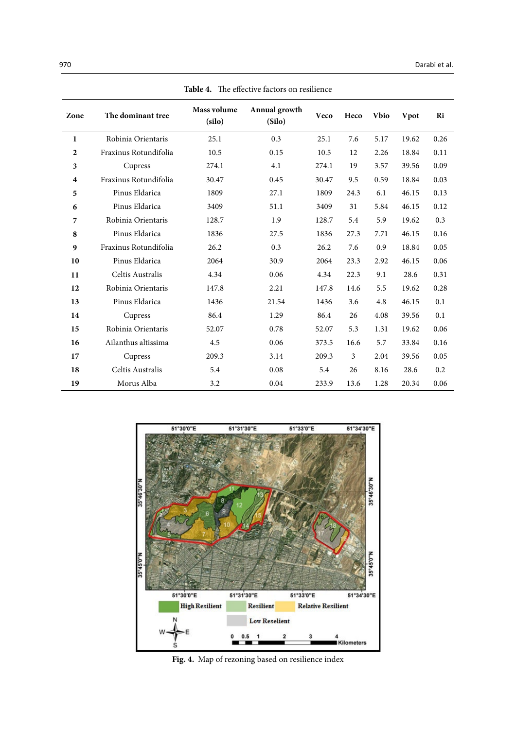| Zone                    | The dominant tree     | Mass volume<br>(silo) | Annual growth<br>(Silo) | Veco  | Heco | <b>Vbio</b> | Vpot  | Ri   |
|-------------------------|-----------------------|-----------------------|-------------------------|-------|------|-------------|-------|------|
|                         |                       |                       |                         |       |      |             |       |      |
| 1                       | Robinia Orientaris    | 25.1                  | 0.3                     | 25.1  | 7.6  | 5.17        | 19.62 | 0.26 |
| $\overline{2}$          | Fraxinus Rotundifolia | 10.5                  | 0.15                    | 10.5  | 12   | 2.26        | 18.84 | 0.11 |
| 3                       | Cupress               | 274.1                 | 4.1                     | 274.1 | 19   | 3.57        | 39.56 | 0.09 |
| $\overline{\mathbf{4}}$ | Fraxinus Rotundifolia | 30.47                 | 0.45                    | 30.47 | 9.5  | 0.59        | 18.84 | 0.03 |
| 5                       | Pinus Eldarica        | 1809                  | 27.1                    | 1809  | 24.3 | 6.1         | 46.15 | 0.13 |
| 6                       | Pinus Eldarica        | 3409                  | 51.1                    | 3409  | 31   | 5.84        | 46.15 | 0.12 |
| 7                       | Robinia Orientaris    | 128.7                 | 1.9                     | 128.7 | 5.4  | 5.9         | 19.62 | 0.3  |
| 8                       | Pinus Eldarica        | 1836                  | 27.5                    | 1836  | 27.3 | 7.71        | 46.15 | 0.16 |
| 9                       | Fraxinus Rotundifolia | 26.2                  | 0.3                     | 26.2  | 7.6  | 0.9         | 18.84 | 0.05 |
| 10                      | Pinus Eldarica        | 2064                  | 30.9                    | 2064  | 23.3 | 2.92        | 46.15 | 0.06 |
| 11                      | Celtis Australis      | 4.34                  | 0.06                    | 4.34  | 22.3 | 9.1         | 28.6  | 0.31 |
| 12                      | Robinia Orientaris    | 147.8                 | 2.21                    | 147.8 | 14.6 | 5.5         | 19.62 | 0.28 |
| 13                      | Pinus Eldarica        | 1436                  | 21.54                   | 1436  | 3.6  | 4.8         | 46.15 | 0.1  |
| 14                      | Cupress               | 86.4                  | 1.29                    | 86.4  | 26   | 4.08        | 39.56 | 0.1  |
| 15                      | Robinia Orientaris    | 52.07                 | 0.78                    | 52.07 | 5.3  | 1.31        | 19.62 | 0.06 |
| 16                      | Ailanthus altissima   | 4.5                   | 0.06                    | 373.5 | 16.6 | 5.7         | 33.84 | 0.16 |
| 17                      | Cupress               | 209.3                 | 3.14                    | 209.3 | 3    | 2.04        | 39.56 | 0.05 |
| 18                      | Celtis Australis      | 5.4                   | 0.08                    | 5.4   | 26   | 8.16        | 28.6  | 0.2  |
| 19                      | Morus Alba            | 3.2                   | 0.04                    | 233.9 | 13.6 | 1.28        | 20.34 | 0.06 |

**Table 4.** The effective factors on resilience **Table 4.** The effective factors on resilience



**Fig. 4.** Map of rezoning based on resilience index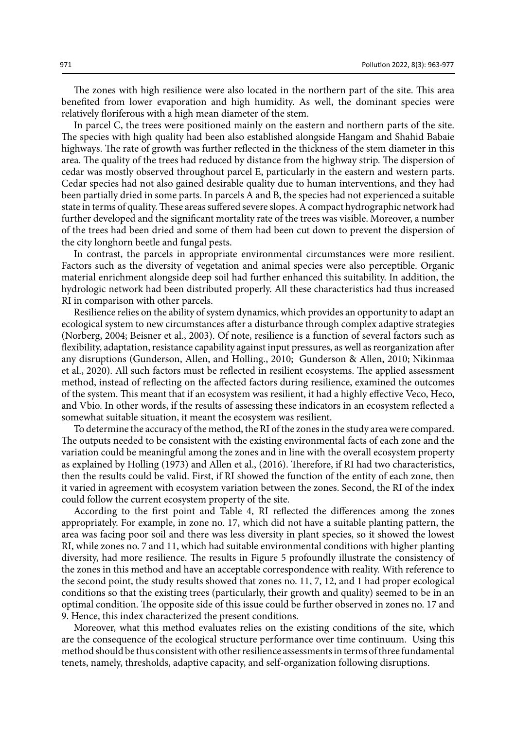The zones with high resilience were also located in the northern part of the site. This area benefited from lower evaporation and high humidity. As well, the dominant species were relatively floriferous with a high mean diameter of the stem.

In parcel C, the trees were positioned mainly on the eastern and northern parts of the site. The species with high quality had been also established alongside Hangam and Shahid Babaie highways. The rate of growth was further reflected in the thickness of the stem diameter in this area. The quality of the trees had reduced by distance from the highway strip. The dispersion of cedar was mostly observed throughout parcel E, particularly in the eastern and western parts. Cedar species had not also gained desirable quality due to human interventions, and they had been partially dried in some parts. In parcels A and B, the species had not experienced a suitable state in terms of quality. These areas suffered severe slopes. A compact hydrographic network had further developed and the significant mortality rate of the trees was visible. Moreover, a number of the trees had been dried and some of them had been cut down to prevent the dispersion of the city longhorn beetle and fungal pests.

In contrast, the parcels in appropriate environmental circumstances were more resilient. Factors such as the diversity of vegetation and animal species were also perceptible. Organic material enrichment alongside deep soil had further enhanced this suitability. In addition, the hydrologic network had been distributed properly. All these characteristics had thus increased RI in comparison with other parcels.

Resilience relies on the ability of system dynamics, which provides an opportunity to adapt an ecological system to new circumstances after a disturbance through complex adaptive strategies (Norberg, 2004; Beisner et al., 2003). Of note, resilience is a function of several factors such as flexibility, adaptation, resistance capability against input pressures, as well as reorganization after any disruptions (Gunderson, Allen, and Holling., 2010; Gunderson & Allen, 2010; Nikinmaa et al., 2020). All such factors must be reflected in resilient ecosystems. The applied assessment method, instead of reflecting on the affected factors during resilience, examined the outcomes of the system. This meant that if an ecosystem was resilient, it had a highly effective Veco, Heco, and Vbio. In other words, if the results of assessing these indicators in an ecosystem reflected a somewhat suitable situation, it meant the ecosystem was resilient.

To determine the accuracy of the method, the RI of the zones in the study area were compared. The outputs needed to be consistent with the existing environmental facts of each zone and the variation could be meaningful among the zones and in line with the overall ecosystem property as explained by Holling (1973) and Allen et al., (2016). Therefore, if RI had two characteristics, then the results could be valid. First, if RI showed the function of the entity of each zone, then it varied in agreement with ecosystem variation between the zones. Second, the RI of the index could follow the current ecosystem property of the site.

According to the first point and Table 4, RI reflected the differences among the zones appropriately. For example, in zone no. 17, which did not have a suitable planting pattern, the area was facing poor soil and there was less diversity in plant species, so it showed the lowest RI, while zones no. 7 and 11, which had suitable environmental conditions with higher planting diversity, had more resilience. The results in Figure 5 profoundly illustrate the consistency of the zones in this method and have an acceptable correspondence with reality. With reference to the second point, the study results showed that zones no. 11, 7, 12, and 1 had proper ecological conditions so that the existing trees (particularly, their growth and quality) seemed to be in an optimal condition. The opposite side of this issue could be further observed in zones no. 17 and 9. Hence, this index characterized the present conditions.

Moreover, what this method evaluates relies on the existing conditions of the site, which are the consequence of the ecological structure performance over time continuum. Using this method should be thus consistent with other resilience assessments in terms of three fundamental tenets, namely, thresholds, adaptive capacity, and self-organization following disruptions.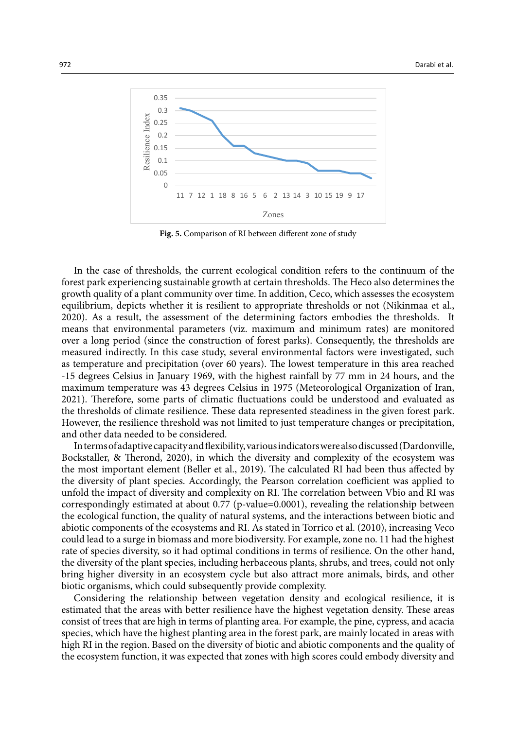

**Fig 5.** Comparison of RI between different zone of study **Fig. 5.** Comparison of RI between different zone of study

In the case of thresholds, the current ecological condition refers to the continuum of the forest park experiencing sustainable growth at certain thresholds. The Heco also determines the growth quality of a plant community over time. In addition, Ceco, which assesses the ecosystem equilibrium, depicts whether it is resilient to appropriate thresholds or not (Nikinmaa et al., 2020). As a result, the assessment of the determining factors embodies the thresholds. It means that environmental parameters (viz. maximum and minimum rates) are monitored over a long period (since the construction of forest parks). Consequently, the thresholds are measured indirectly. In this case study, several environmental factors were investigated, such as temperature and precipitation (over 60 years). The lowest temperature in this area reached -15 degrees Celsius in January 1969, with the highest rainfall by 77 mm in 24 hours, and the maximum temperature was 43 degrees Celsius in 1975 (Meteorological Organization of Iran, 2021). Therefore, some parts of climatic fluctuations could be understood and evaluated as the thresholds of climate resilience. These data represented steadiness in the given forest park. However, the resilience threshold was not limited to just temperature changes or precipitation, and other data needed to be considered.

In terms of adaptive capacity and flexibility, various indicators were also discussed (Dardonville, Bockstaller, & Therond, 2020), in which the diversity and complexity of the ecosystem was the most important element (Beller et al., 2019). The calculated RI had been thus affected by the diversity of plant species. Accordingly, the Pearson correlation coefficient was applied to unfold the impact of diversity and complexity on RI. The correlation between Vbio and RI was correspondingly estimated at about 0.77 (p-value=0.0001), revealing the relationship between the ecological function, the quality of natural systems, and the interactions between biotic and abiotic components of the ecosystems and RI. As stated in Torrico et al. (2010), increasing Veco could lead to a surge in biomass and more biodiversity. For example, zone no. 11 had the highest rate of species diversity, so it had optimal conditions in terms of resilience. On the other hand, the diversity of the plant species, including herbaceous plants, shrubs, and trees, could not only bring higher diversity in an ecosystem cycle but also attract more animals, birds, and other biotic organisms, which could subsequently provide complexity.

Considering the relationship between vegetation density and ecological resilience, it is estimated that the areas with better resilience have the highest vegetation density. These areas consist of trees that are high in terms of planting area. For example, the pine, cypress, and acacia species, which have the highest planting area in the forest park, are mainly located in areas with high RI in the region. Based on the diversity of biotic and abiotic components and the quality of the ecosystem function, it was expected that zones with high scores could embody diversity and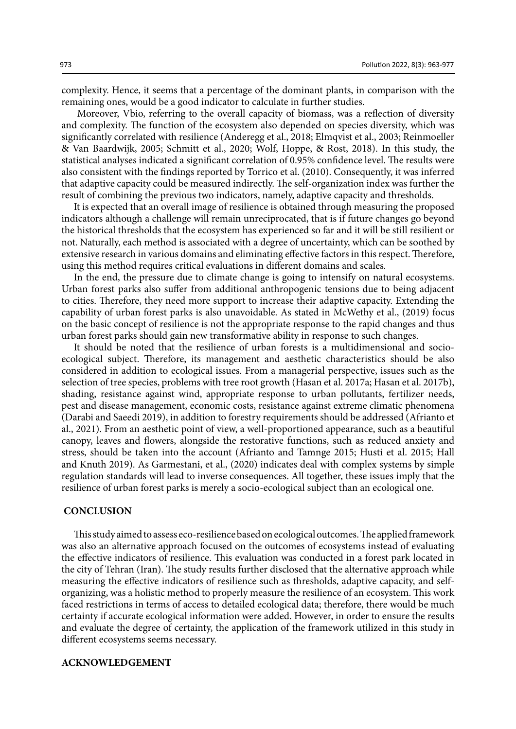complexity. Hence, it seems that a percentage of the dominant plants, in comparison with the remaining ones, would be a good indicator to calculate in further studies.

 Moreover, Vbio, referring to the overall capacity of biomass, was a reflection of diversity and complexity. The function of the ecosystem also depended on species diversity, which was significantly correlated with resilience (Anderegg et al., 2018; Elmqvist et al., 2003; Reinmoeller & Van Baardwijk, 2005; Schmitt et al., 2020; Wolf, Hoppe, & Rost, 2018). In this study, the statistical analyses indicated a significant correlation of 0.95% confidence level. The results were also consistent with the findings reported by Torrico et al. (2010). Consequently, it was inferred that adaptive capacity could be measured indirectly. The self-organization index was further the result of combining the previous two indicators, namely, adaptive capacity and thresholds.

It is expected that an overall image of resilience is obtained through measuring the proposed indicators although a challenge will remain unreciprocated, that is if future changes go beyond the historical thresholds that the ecosystem has experienced so far and it will be still resilient or not. Naturally, each method is associated with a degree of uncertainty, which can be soothed by extensive research in various domains and eliminating effective factors in this respect. Therefore, using this method requires critical evaluations in different domains and scales*.*

In the end, the pressure due to climate change is going to intensify on natural ecosystems. Urban forest parks also suffer from additional anthropogenic tensions due to being adjacent to cities. Therefore, they need more support to increase their adaptive capacity. Extending the capability of urban forest parks is also unavoidable. As stated in McWethy et al., (2019) focus on the basic concept of resilience is not the appropriate response to the rapid changes and thus urban forest parks should gain new transformative ability in response to such changes.

It should be noted that the resilience of urban forests is a multidimensional and socioecological subject. Therefore, its management and aesthetic characteristics should be also considered in addition to ecological issues. From a managerial perspective, issues such as the selection of tree species, problems with tree root growth (Hasan et al. 2017a; Hasan et al. 2017b), shading, resistance against wind, appropriate response to urban pollutants, fertilizer needs, pest and disease management, economic costs, resistance against extreme climatic phenomena (Darabi and Saeedi 2019), in addition to forestry requirements should be addressed (Afrianto et al., 2021). From an aesthetic point of view, a well-proportioned appearance, such as a beautiful canopy, leaves and flowers, alongside the restorative functions, such as reduced anxiety and stress, should be taken into the account (Afrianto and Tamnge 2015; Husti et al. 2015; Hall and Knuth 2019). As Garmestani, et al., (2020) indicates deal with complex systems by simple regulation standards will lead to inverse consequences. All together, these issues imply that the resilience of urban forest parks is merely a socio-ecological subject than an ecological one.

#### **CONCLUSION**

This study aimed to assess eco-resilience based on ecological outcomes. The applied framework was also an alternative approach focused on the outcomes of ecosystems instead of evaluating the effective indicators of resilience. This evaluation was conducted in a forest park located in the city of Tehran (Iran). The study results further disclosed that the alternative approach while measuring the effective indicators of resilience such as thresholds, adaptive capacity, and selforganizing, was a holistic method to properly measure the resilience of an ecosystem. This work faced restrictions in terms of access to detailed ecological data; therefore, there would be much certainty if accurate ecological information were added. However, in order to ensure the results and evaluate the degree of certainty, the application of the framework utilized in this study in different ecosystems seems necessary.

#### **ACKNOWLEDGEMENT**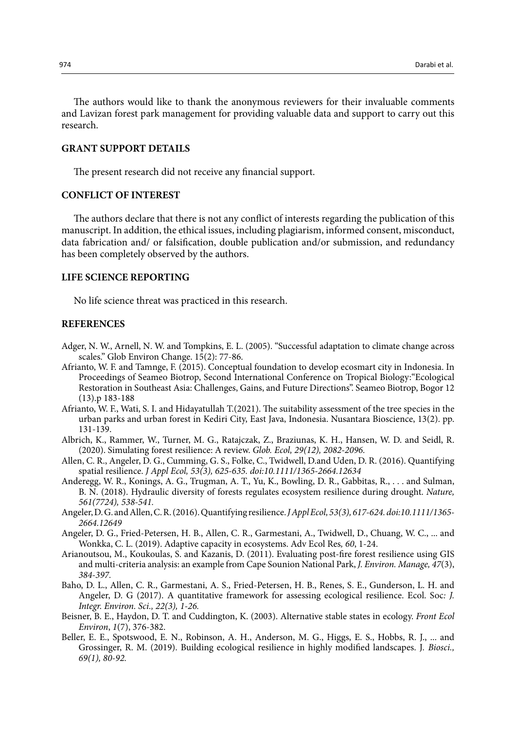The authors would like to thank the anonymous reviewers for their invaluable comments and Lavizan forest park management for providing valuable data and support to carry out this research.

## **GRANT SUPPORT DETAILS**

The present research did not receive any financial support.

## **CONFLICT OF INTEREST**

The authors declare that there is not any conflict of interests regarding the publication of this manuscript. In addition, the ethical issues, including plagiarism, informed consent, misconduct, data fabrication and/ or falsification, double publication and/or submission, and redundancy has been completely observed by the authors.

### **LIFE SCIENCE REPORTING**

No life science threat was practiced in this research.

## **REFERENCES**

- Adger, N. W., Arnell, N. W. and Tompkins, E. L. (2005). "Successful adaptation to climate change across scales." Glob Environ Change. 15(2): 77-86.
- Afrianto, W. F. and Tamnge, F. (2015). Conceptual foundation to develop ecosmart city in Indonesia. In Proceedings of Seameo Biotrop, Second International Conference on Tropical Biology:"Ecological Restoration in Southeast Asia: Challenges, Gains, and Future Directions". Seameo Biotrop, Bogor 12 (13).p 183-188
- Afrianto, W. F., Wati, S. I. and Hidayatullah T.(2021). The suitability assessment of the tree species in the urban parks and urban forest in Kediri City, East Java, Indonesia. Nusantara Bioscience, 13(2). pp. 131-139.
- Albrich, K., Rammer, W., Turner, M. G., Ratajczak, Z., Braziunas, K. H., Hansen, W. D. and Seidl, R. (2020). Simulating forest resilience: A review. *Glob. Ecol, 29(12), 2082-2096.*
- Allen, C. R., Angeler, D. G., Cumming, G. S., Folke, C., Twidwell, D.and Uden, D. R. (2016). Quantifying spatial resilience. *J Appl Ecol, 53(3), 625-635. doi:10.1111/1365-2664.12634*
- Anderegg, W. R., Konings, A. G., Trugman, A. T., Yu, K., Bowling, D. R., Gabbitas, R., . . . and Sulman, B. N. (2018). Hydraulic diversity of forests regulates ecosystem resilience during drought. *Nature, 561(7724), 538-541.*
- Angeler, D. G. and Allen, C. R. (2016). Quantifying resilience. *J Appl Ecol, 53(3), 617-624. doi:10.1111/1365- 2664.12649*
- Angeler, D. G., Fried-Petersen, H. B., Allen, C. R., Garmestani, A., Twidwell, D., Chuang, W. C., ... and Wonkka, C. L. (2019). Adaptive capacity in ecosystems. Adv Ecol Res*, 60*, 1-24.
- Arianoutsou, M., Koukoulas, S. and Kazanis, D. (2011). Evaluating post-fire forest resilience using GIS and multi-criteria analysis: an example from Cape Sounion National Park, *J. Environ. Manage, 47*(3), *384-397.*
- Baho, D. L., Allen, C. R., Garmestani, A. S., Fried-Petersen, H. B., Renes, S. E., Gunderson, L. H. and Angeler, D. G (2017). A quantitative framework for assessing ecological resilience. Ecol. Soc*: J. Integr. Environ. Sci., 22(3), 1-26.*
- Beisner, B. E., Haydon, D. T. and Cuddington, K. (2003). Alternative stable states in ecology. *Front Ecol Environ*, *1*(7), 376-382.
- Beller, E. E., Spotswood, E. N., Robinson, A. H., Anderson, M. G., Higgs, E. S., Hobbs, R. J., ... and Grossinger, R. M. (2019). Building ecological resilience in highly modified landscapes. J*. Biosci., 69(1), 80-92.*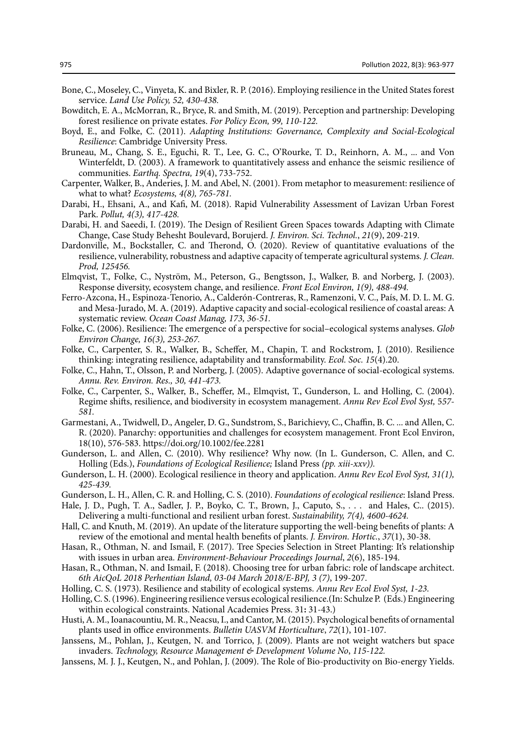- Bone, C., Moseley, C., Vinyeta, K. and Bixler, R. P. (2016). Employing resilience in the United States forest service. *Land Use Policy, 52, 430-438.*
- Bowditch, E. A., McMorran, R., Bryce, R. and Smith, M. (2019). Perception and partnership: Developing forest resilience on private estates. *For Policy Econ, 99, 110-122.*
- Boyd, E., and Folke, C. (2011). *Adapting Institutions: Governance, Complexity and Social-Ecological Resilience*: Cambridge University Press.
- Bruneau, M., Chang, S. E., Eguchi, R. T., Lee, G. C., O'Rourke, T. D., Reinhorn, A. M., ... and Von Winterfeldt, D. (2003). A framework to quantitatively assess and enhance the seismic resilience of communities. *Earthq. Spectra, 19*(4), 733-752.
- Carpenter, Walker, B., Anderies, J. M. and Abel, N. (2001). From metaphor to measurement: resilience of what to what? *Ecosystems, 4(8), 765-781.*
- Darabi, H., Ehsani, A., and Kafi, M. (2018). Rapid Vulnerability Assessment of Lavizan Urban Forest Park. *Pollut, 4(3), 417-428.*
- Darabi, H. and Saeedi, I. (2019). The Design of Resilient Green Spaces towards Adapting with Climate Change, Case Study Behesht Boulevard, Borujerd. *J. Environ. Sci. Technol.*, *21*(9), 209-219.
- Dardonville, M., Bockstaller, C. and Therond, O. (2020). Review of quantitative evaluations of the resilience, vulnerability, robustness and adaptive capacity of temperate agricultural systems*. J. Clean. Prod, 125456.*
- Elmqvist, T., Folke, C., Nyström, M., Peterson, G., Bengtsson, J., Walker, B. and Norberg, J. (2003). Response diversity, ecosystem change, and resilience. *Front Ecol Environ, 1(9), 488-494.*
- Ferro-Azcona, H., Espinoza-Tenorio, A., Calderón-Contreras, R., Ramenzoni, V. C., País, M. D. L. M. G. and Mesa-Jurado, M. A. (2019). Adaptive capacity and social-ecological resilience of coastal areas: A systematic review. *Ocean Coast Manag, 173, 36-51.*
- Folke, C. (2006). Resilience: The emergence of a perspective for social–ecological systems analyses. *Glob Environ Change, 16(3), 253-267.*
- Folke, C., Carpenter, S. R., Walker, B., Scheffer, M., Chapin, T. and Rockstrom, J. (2010). Resilience thinking: integrating resilience, adaptability and transformability. *Ecol. Soc. 15*(4).20.
- Folke, C., Hahn, T., Olsson, P. and Norberg, J. (2005). Adaptive governance of social-ecological systems. *Annu. Rev. Environ. Res., 30, 441-473.*
- Folke, C., Carpenter, S., Walker, B., Scheffer, M., Elmqvist, T., Gunderson, L. and Holling, C. (2004). Regime shifts, resilience, and biodiversity in ecosystem management. *Annu Rev Ecol Evol Syst,* 5*57- 581.*
- Garmestani, A., Twidwell, D., Angeler, D. G., Sundstrom, S., Barichievy, C., Chaffin, B. C. ... and Allen, C. R. (2020). Panarchy: opportunities and challenges for ecosystem management. Front Ecol Environ, 18(10), 576-583. https://doi.org/10.1002/fee.2281
- Gunderson, L. and Allen, C. (2010). Why resilience? Why now. (In L. Gunderson, C. Allen, and C. Holling (Eds.), *Foundations of Ecological Resilience;* Island Press *(pp. xiii-xxv)).*
- Gunderson, L. H. (2000). Ecological resilience in theory and application. *Annu Rev Ecol Evol Syst, 31(1), 425-439.*
- Gunderson, L. H., Allen, C. R. and Holling, C. S. (2010). *Foundations of ecological resilience*: Island Press.
- Hale, J. D., Pugh, T. A., Sadler, J. P., Boyko, C. T., Brown, J., Caputo, S., . . . and Hales, C.. (2015). Delivering a multi-functional and resilient urban forest. *Sustainability, 7(4), 4600-4624.*
- Hall, C. and Knuth, M. (2019). An update of the literature supporting the well-being benefits of plants: A review of the emotional and mental health benefits of plants. *J. Environ. Hortic.*, *37*(1), 30-38.
- Hasan, R., Othman, N. and Ismail, F. (2017). Tree Species Selection in Street Planting: It's relationship with issues in urban area. *Environment-Behaviour Proceedings Journal*, *2*(6), 185-194.
- Hasan, R., Othman, N. and Ismail, F. (2018). Choosing tree for urban fabric: role of landscape architect. *6th AicQoL 2018 Perhentian Island, 03-04 March 2018/E-BPJ, 3 (7)*, 199-207.
- Holling, C. S. (1973). Resilience and stability of ecological systems. *Annu Rev Ecol Evol Syst, 1-23.*
- Holling, C. S. (1996). Engineering resilience versus ecological resilience.(In: Schulze P. (Eds.) Engineering within ecological constraints. National Academies Press. 31**:** 31-43.)
- Husti, A. M., Ioanacountiu, M. R., Neacsu, I., and Cantor, M. (2015). Psychological benefits of ornamental plants used in office environments. *Bulletin UASVM Horticulture*, *72*(1), 101-107.
- Janssens, M., Pohlan, J., Keutgen, N. and Torrico, J. (2009). Plants are not weight watchers but space invaders. *Technology, Resource Management & Development Volume No*, *115-122.*
- Janssens, M. J. J., Keutgen, N., and Pohlan, J. (2009). The Role of Bio-productivity on Bio-energy Yields.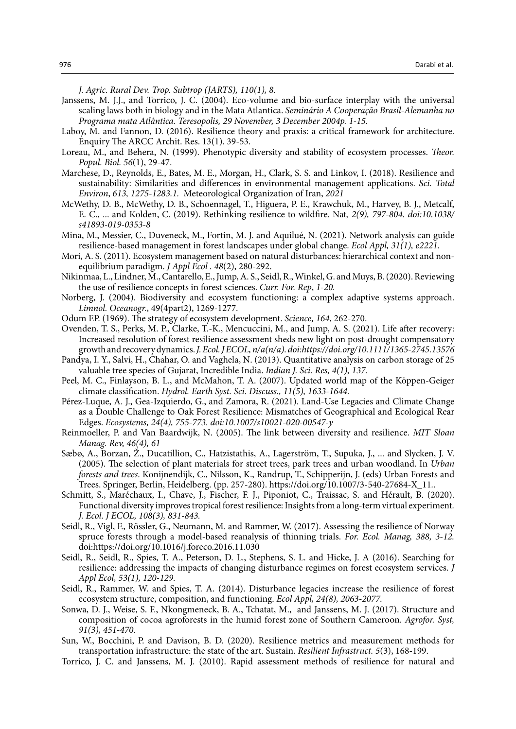*J. Agric. Rural Dev. Trop. Subtrop (JARTS), 110(1), 8.* 

- Janssens, M. J.J., and Torrico, J. C. (2004). Eco-volume and bio-surface interplay with the universal scaling laws both in biology and in the Mata Atlantica. *Seminário A Cooperação Brasil-Alemanha no Programa mata Atlântica. Teresopolis, 29 November, 3 December 2004p. 1-15.*
- Laboy, M. and Fannon, D. (2016). Resilience theory and praxis: a critical framework for architecture. Enquiry The ARCC Archit. Res. 13(1). 39-53.
- Loreau, M., and Behera, N. (1999). Phenotypic diversity and stability of ecosystem processes. *Theor. Popul. Biol. 56*(1), 29-47.
- Marchese, D., Reynolds, E., Bates, M. E., Morgan, H., Clark, S. S. and Linkov, I. (2018). Resilience and sustainability: Similarities and differences in environmental management applications. *Sci. Total Environ*, *613, 1275-1283.1.* Meteorological Organization of Iran, *2021*
- McWethy, D. B., McWethy, D. B., Schoennagel, T., Higuera, P. E., Krawchuk, M., Harvey, B. J., Metcalf, E. C., ... and Kolden, C. (2019). Rethinking resilience to wildfire. Nat*, 2(9), 797-804. doi:10.1038/ s41893-019-0353-8*
- Mina, M., Messier, C., Duveneck, M., Fortin, M. J. and Aquilué, N. (2021). Network analysis can guide resilience‐based management in forest landscapes under global change. *Ecol Appl, 31(1), e2221.*
- Mori, A. S. (2011). Ecosystem management based on natural disturbances: hierarchical context and nonequilibrium paradigm. *J Appl Ecol . 48*(2), 280-292.
- Nikinmaa, L., Lindner, M., Cantarello, E., Jump, A. S., Seidl, R., Winkel, G. and Muys, B. (2020). Reviewing the use of resilience concepts in forest sciences. *Curr. For. Rep*, *1-20.*
- Norberg, J. (2004). Biodiversity and ecosystem functioning: a complex adaptive systems approach. *Limnol. Oceanogr.*, 49(4part2), 1269-1277.
- Odum EP. (1969). The strategy of ecosystem development. *Science, 164*, 262-270.
- Ovenden, T. S., Perks, M. P., Clarke, T.-K., Mencuccini, M., and Jump, A. S. (2021). Life after recovery: Increased resolution of forest resilience assessment sheds new light on post-drought compensatory growth and recovery dynamics. *J. Ecol. J ECOL, n/a(n/a). doi:https://doi.org/10.1111/1365-2745.13576*
- Pandya, I. Y., Salvi, H., Chahar, O. and Vaghela, N. (2013). Quantitative analysis on carbon storage of 25 valuable tree species of Gujarat, Incredible India. *Indian J. Sci. Res, 4(1), 137.*
- Peel, M. C., Finlayson, B. L., and McMahon, T. A. (2007). Updated world map of the Köppen-Geiger climate classification. *Hydrol. Earth Syst. Sci. Discuss., 11(5), 1633-1644.*
- Pérez-Luque, A. J., Gea-Izquierdo, G., and Zamora, R. (2021). Land-Use Legacies and Climate Change as a Double Challenge to Oak Forest Resilience: Mismatches of Geographical and Ecological Rear Edges. *Ecosystems, 24(4), 755-773. doi:10.1007/s10021-020-00547-y*
- Reinmoeller, P. and Van Baardwijk, N. (2005). The link between diversity and resilience. *MIT Sloan Manag. Rev, 46(4), 61*
- Sæbø, A., Borzan, Ž., Ducatillion, C., Hatzistathis, A., Lagerström, T., Supuka, J., ... and Slycken, J. V. (2005). The selection of plant materials for street trees, park trees and urban woodland. In *Urban forests and trees*. Konijnendijk, C., Nilsson, K., Randrup, T., Schipperijn, J. (eds) Urban Forests and Trees. Springer, Berlin, Heidelberg. (pp. 257-280). https://doi.org/10.1007/3-540-27684-X\_11*..*
- Schmitt, S., Maréchaux, I., Chave, J., Fischer, F. J., Piponiot, C., Traissac, S. and Hérault, B. (2020). Functional diversity improves tropical forest resilience: Insights from a long‐term virtual experiment*. J. Ecol. J ECOL, 108(3), 831-843.*
- Seidl, R., Vigl, F., Rössler, G., Neumann, M. and Rammer, W. (2017). Assessing the resilience of Norway spruce forests through a model-based reanalysis of thinning trials. *For. Ecol. Manag, 388, 3-12.*  doi:https://doi.org/10.1016/j.foreco.2016.11.030
- Seidl, R., Seidl, R., Spies, T. A., Peterson, D. L., Stephens, S. L. and Hicke, J. A (2016). Searching for resilience: addressing the impacts of changing disturbance regimes on forest ecosystem services. *J Appl Ecol, 53(1), 120-129.*
- Seidl, R., Rammer, W. and Spies, T. A. (2014). Disturbance legacies increase the resilience of forest ecosystem structure, composition, and functioning. *Ecol Appl, 24(8), 2063-2077.*
- Sonwa, D. J., Weise, S. F., Nkongmeneck, B. A., Tchatat, M., and Janssens, M. J. (2017). Structure and composition of cocoa agroforests in the humid forest zone of Southern Cameroon. *Agrofor. Syst, 91(3), 451-470.*
- Sun, W., Bocchini, P. and Davison, B. D. (2020). Resilience metrics and measurement methods for transportation infrastructure: the state of the art. Sustain. *Resilient Infrastruct. 5*(3), 168-199.
- Torrico, J. C. and Janssens, M. J. (2010). Rapid assessment methods of resilience for natural and